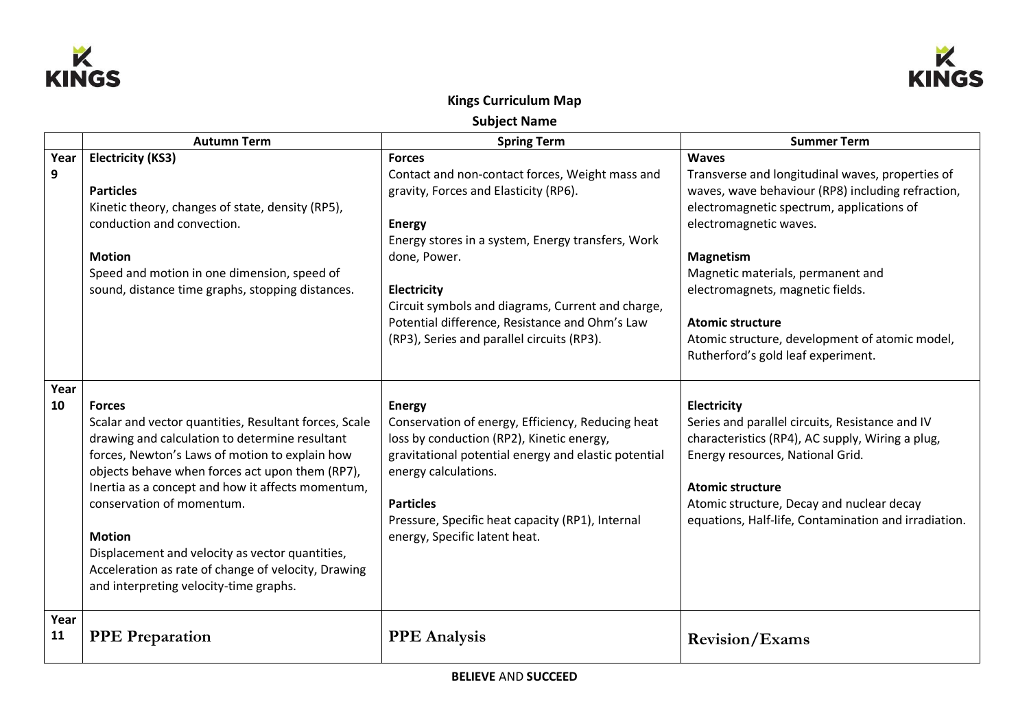



## **Kings Curriculum Map**

**Subject Name**

|            | <b>Autumn Term</b>                                                                                                                                                                                                                                                                                                                                                                                                                                                                   | <b>Spring Term</b>                                                                                                                                                                                                                                                                                                                                                  | <b>Summer Term</b>                                                                                                                                                                                                                                                                                                                                                                                           |
|------------|--------------------------------------------------------------------------------------------------------------------------------------------------------------------------------------------------------------------------------------------------------------------------------------------------------------------------------------------------------------------------------------------------------------------------------------------------------------------------------------|---------------------------------------------------------------------------------------------------------------------------------------------------------------------------------------------------------------------------------------------------------------------------------------------------------------------------------------------------------------------|--------------------------------------------------------------------------------------------------------------------------------------------------------------------------------------------------------------------------------------------------------------------------------------------------------------------------------------------------------------------------------------------------------------|
| Year<br>9  | <b>Electricity (KS3)</b><br><b>Particles</b><br>Kinetic theory, changes of state, density (RP5),<br>conduction and convection.<br><b>Motion</b><br>Speed and motion in one dimension, speed of<br>sound, distance time graphs, stopping distances.                                                                                                                                                                                                                                   | <b>Forces</b><br>Contact and non-contact forces, Weight mass and<br>gravity, Forces and Elasticity (RP6).<br><b>Energy</b><br>Energy stores in a system, Energy transfers, Work<br>done, Power.<br>Electricity<br>Circuit symbols and diagrams, Current and charge,<br>Potential difference, Resistance and Ohm's Law<br>(RP3), Series and parallel circuits (RP3). | <b>Waves</b><br>Transverse and longitudinal waves, properties of<br>waves, wave behaviour (RP8) including refraction,<br>electromagnetic spectrum, applications of<br>electromagnetic waves.<br><b>Magnetism</b><br>Magnetic materials, permanent and<br>electromagnets, magnetic fields.<br><b>Atomic structure</b><br>Atomic structure, development of atomic model,<br>Rutherford's gold leaf experiment. |
| Year<br>10 | <b>Forces</b><br>Scalar and vector quantities, Resultant forces, Scale<br>drawing and calculation to determine resultant<br>forces, Newton's Laws of motion to explain how<br>objects behave when forces act upon them (RP7),<br>Inertia as a concept and how it affects momentum,<br>conservation of momentum.<br><b>Motion</b><br>Displacement and velocity as vector quantities,<br>Acceleration as rate of change of velocity, Drawing<br>and interpreting velocity-time graphs. | <b>Energy</b><br>Conservation of energy, Efficiency, Reducing heat<br>loss by conduction (RP2), Kinetic energy,<br>gravitational potential energy and elastic potential<br>energy calculations.<br><b>Particles</b><br>Pressure, Specific heat capacity (RP1), Internal<br>energy, Specific latent heat.                                                            | Electricity<br>Series and parallel circuits, Resistance and IV<br>characteristics (RP4), AC supply, Wiring a plug,<br>Energy resources, National Grid.<br><b>Atomic structure</b><br>Atomic structure, Decay and nuclear decay<br>equations, Half-life, Contamination and irradiation.                                                                                                                       |
| Year<br>11 | <b>PPE Preparation</b>                                                                                                                                                                                                                                                                                                                                                                                                                                                               | <b>PPE</b> Analysis                                                                                                                                                                                                                                                                                                                                                 | <b>Revision/Exams</b>                                                                                                                                                                                                                                                                                                                                                                                        |